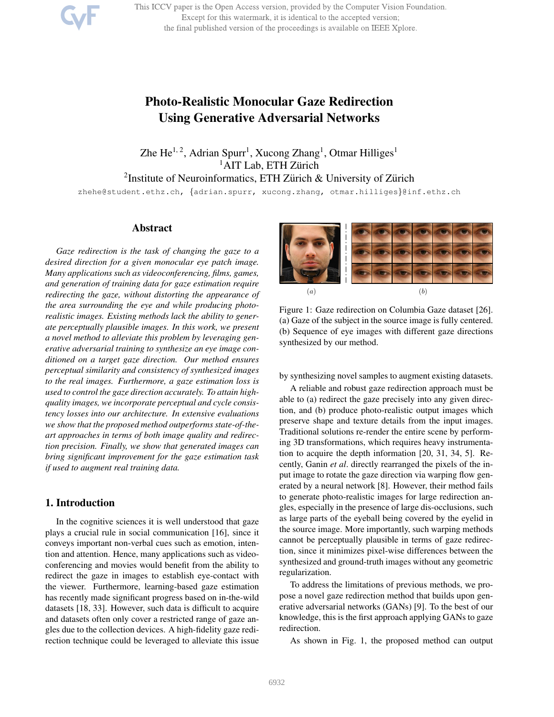This ICCV paper is the Open Access version, provided by the Computer Vision Foundation. Except for this watermark, it is identical to the accepted version; the final published version of the proceedings is available on IEEE Xplore.

# Photo-Realistic Monocular Gaze Redirection Using Generative Adversarial Networks

Zhe He<sup>1, 2</sup>, Adrian Spurr<sup>1</sup>, Xucong Zhang<sup>1</sup>, Otmar Hilliges<sup>1</sup>  ${}^{1}$ AIT Lab, ETH Zürich <sup>2</sup> Institute of Neuroinformatics, ETH Zürich & University of Zürich zhehe@student.ethz.ch, {adrian.spurr, xucong.zhang, otmar.hilliges}@inf.ethz.ch

### Abstract

*Gaze redirection is the task of changing the gaze to a desired direction for a given monocular eye patch image. Many applications such as videoconferencing, films, games, and generation of training data for gaze estimation require redirecting the gaze, without distorting the appearance of the area surrounding the eye and while producing photorealistic images. Existing methods lack the ability to generate perceptually plausible images. In this work, we present a novel method to alleviate this problem by leveraging generative adversarial training to synthesize an eye image conditioned on a target gaze direction. Our method ensures perceptual similarity and consistency of synthesized images to the real images. Furthermore, a gaze estimation loss is used to control the gaze direction accurately. To attain highquality images, we incorporate perceptual and cycle consistency losses into our architecture. In extensive evaluations we show that the proposed method outperforms state-of-theart approaches in terms of both image quality and redirection precision. Finally, we show that generated images can bring significant improvement for the gaze estimation task if used to augment real training data.*

# 1. Introduction

In the cognitive sciences it is well understood that gaze plays a crucial rule in social communication [16], since it conveys important non-verbal cues such as emotion, intention and attention. Hence, many applications such as videoconferencing and movies would benefit from the ability to redirect the gaze in images to establish eye-contact with the viewer. Furthermore, learning-based gaze estimation has recently made significant progress based on in-the-wild datasets [18, 33]. However, such data is difficult to acquire and datasets often only cover a restricted range of gaze angles due to the collection devices. A high-fidelity gaze redirection technique could be leveraged to alleviate this issue



Figure 1: Gaze redirection on Columbia Gaze dataset [26]. (a) Gaze of the subject in the source image is fully centered. (b) Sequence of eye images with different gaze directions synthesized by our method.

by synthesizing novel samples to augment existing datasets.

A reliable and robust gaze redirection approach must be able to (a) redirect the gaze precisely into any given direction, and (b) produce photo-realistic output images which preserve shape and texture details from the input images. Traditional solutions re-render the entire scene by performing 3D transformations, which requires heavy instrumentation to acquire the depth information [20, 31, 34, 5]. Recently, Ganin *et al*. directly rearranged the pixels of the input image to rotate the gaze direction via warping flow generated by a neural network [8]. However, their method fails to generate photo-realistic images for large redirection angles, especially in the presence of large dis-occlusions, such as large parts of the eyeball being covered by the eyelid in the source image. More importantly, such warping methods cannot be perceptually plausible in terms of gaze redirection, since it minimizes pixel-wise differences between the synthesized and ground-truth images without any geometric regularization.

To address the limitations of previous methods, we propose a novel gaze redirection method that builds upon generative adversarial networks (GANs) [9]. To the best of our knowledge, this is the first approach applying GANs to gaze redirection.

As shown in Fig. 1, the proposed method can output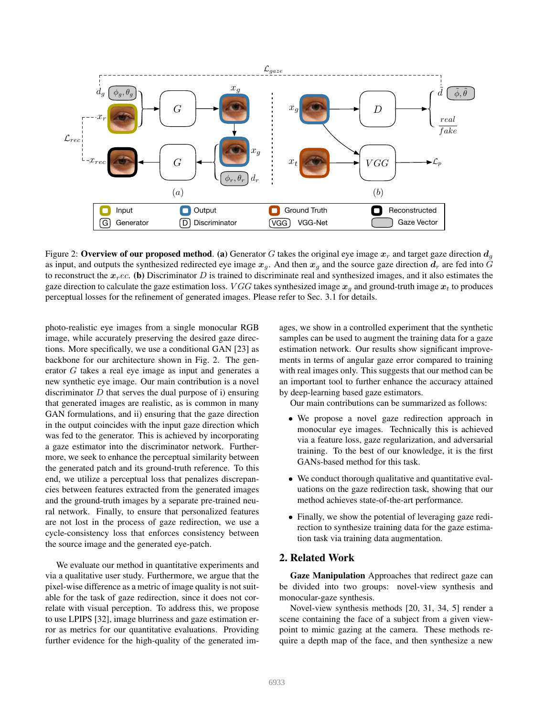

Figure 2: Overview of our proposed method. (a) Generator G takes the original eye image  $x_r$  and target gaze direction  $d_q$ as input, and outputs the synthesized redirected eye image  $x_q$ . And then  $x_q$  and the source gaze direction  $d_r$  are fed into G to reconstruct the  $x_{r}$ ec. (b) Discriminator D is trained to discriminate real and synthesized images, and it also estimates the gaze direction to calculate the gaze estimation loss. *VGG* takes synthesized image  $x_q$  and ground-truth image  $x_t$  to produces perceptual losses for the refinement of generated images. Please refer to Sec. 3.1 for details.

photo-realistic eye images from a single monocular RGB image, while accurately preserving the desired gaze directions. More specifically, we use a conditional GAN [23] as backbone for our architecture shown in Fig. 2. The generator G takes a real eye image as input and generates a new synthetic eye image. Our main contribution is a novel discriminator  $D$  that serves the dual purpose of i) ensuring that generated images are realistic, as is common in many GAN formulations, and ii) ensuring that the gaze direction in the output coincides with the input gaze direction which was fed to the generator. This is achieved by incorporating a gaze estimator into the discriminator network. Furthermore, we seek to enhance the perceptual similarity between the generated patch and its ground-truth reference. To this end, we utilize a perceptual loss that penalizes discrepancies between features extracted from the generated images and the ground-truth images by a separate pre-trained neural network. Finally, to ensure that personalized features are not lost in the process of gaze redirection, we use a cycle-consistency loss that enforces consistency between the source image and the generated eye-patch.

We evaluate our method in quantitative experiments and via a qualitative user study. Furthermore, we argue that the pixel-wise difference as a metric of image quality is not suitable for the task of gaze redirection, since it does not correlate with visual perception. To address this, we propose to use LPIPS [32], image blurriness and gaze estimation error as metrics for our quantitative evaluations. Providing further evidence for the high-quality of the generated images, we show in a controlled experiment that the synthetic samples can be used to augment the training data for a gaze estimation network. Our results show significant improvements in terms of angular gaze error compared to training with real images only. This suggests that our method can be an important tool to further enhance the accuracy attained by deep-learning based gaze estimators.

Our main contributions can be summarized as follows:

- We propose a novel gaze redirection approach in monocular eye images. Technically this is achieved via a feature loss, gaze regularization, and adversarial training. To the best of our knowledge, it is the first GANs-based method for this task.
- We conduct thorough qualitative and quantitative evaluations on the gaze redirection task, showing that our method achieves state-of-the-art performance.
- Finally, we show the potential of leveraging gaze redirection to synthesize training data for the gaze estimation task via training data augmentation.

# 2. Related Work

Gaze Manipulation Approaches that redirect gaze can be divided into two groups: novel-view synthesis and monocular-gaze synthesis.

Novel-view synthesis methods [20, 31, 34, 5] render a scene containing the face of a subject from a given viewpoint to mimic gazing at the camera. These methods require a depth map of the face, and then synthesize a new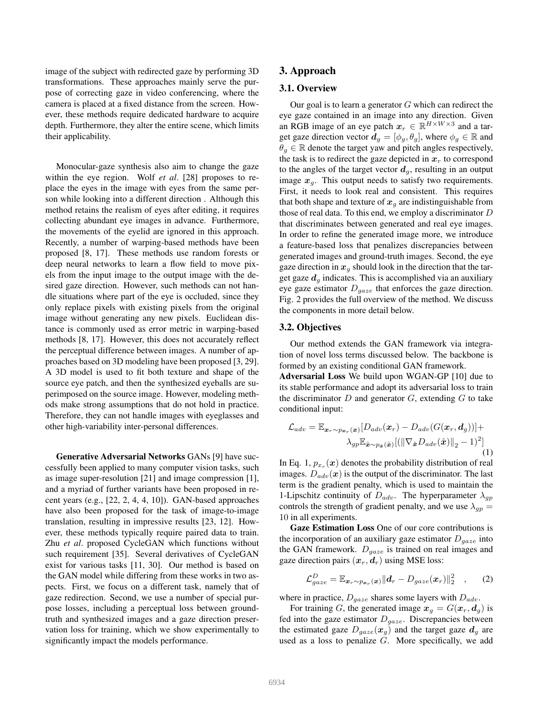image of the subject with redirected gaze by performing 3D transformations. These approaches mainly serve the purpose of correcting gaze in video conferencing, where the camera is placed at a fixed distance from the screen. However, these methods require dedicated hardware to acquire depth. Furthermore, they alter the entire scene, which limits their applicability.

Monocular-gaze synthesis also aim to change the gaze within the eye region. Wolf *et al*. [28] proposes to replace the eyes in the image with eyes from the same person while looking into a different direction . Although this method retains the realism of eyes after editing, it requires collecting abundant eye images in advance. Furthermore, the movements of the eyelid are ignored in this approach. Recently, a number of warping-based methods have been proposed [8, 17]. These methods use random forests or deep neural networks to learn a flow field to move pixels from the input image to the output image with the desired gaze direction. However, such methods can not handle situations where part of the eye is occluded, since they only replace pixels with existing pixels from the original image without generating any new pixels. Euclidean distance is commonly used as error metric in warping-based methods [8, 17]. However, this does not accurately reflect the perceptual difference between images. A number of approaches based on 3D modeling have been proposed [3, 29]. A 3D model is used to fit both texture and shape of the source eye patch, and then the synthesized eyeballs are superimposed on the source image. However, modeling methods make strong assumptions that do not hold in practice. Therefore, they can not handle images with eyeglasses and other high-variability inter-personal differences.

Generative Adversarial Networks GANs [9] have successfully been applied to many computer vision tasks, such as image super-resolution [21] and image compression [1], and a myriad of further variants have been proposed in recent years (e.g., [22, 2, 4, 4, 10]). GAN-based approaches have also been proposed for the task of image-to-image translation, resulting in impressive results [23, 12]. However, these methods typically require paired data to train. Zhu *et al*. proposed CycleGAN which functions without such requirement [35]. Several derivatives of CycleGAN exist for various tasks [11, 30]. Our method is based on the GAN model while differing from these works in two aspects. First, we focus on a different task, namely that of gaze redirection. Second, we use a number of special purpose losses, including a perceptual loss between groundtruth and synthesized images and a gaze direction preservation loss for training, which we show experimentally to significantly impact the models performance.

## 3. Approach

## 3.1. Overview

Our goal is to learn a generator  $G$  which can redirect the eye gaze contained in an image into any direction. Given an RGB image of an eye patch  $x_r \in \mathbb{R}^{H \times W \times 3}$  and a target gaze direction vector  $d_q = [\phi_q, \theta_q]$ , where  $\phi_q \in \mathbb{R}$  and  $\theta_g \in \mathbb{R}$  denote the target yaw and pitch angles respectively, the task is to redirect the gaze depicted in  $x_r$  to correspond to the angles of the target vector  $d<sub>q</sub>$ , resulting in an output image  $x<sub>q</sub>$ . This output needs to satisfy two requirements. First, it needs to look real and consistent. This requires that both shape and texture of  $x_q$  are indistinguishable from those of real data. To this end, we employ a discriminator D that discriminates between generated and real eye images. In order to refine the generated image more, we introduce a feature-based loss that penalizes discrepancies between generated images and ground-truth images. Second, the eye gaze direction in  $x_q$  should look in the direction that the target gaze  $d_q$  indicates. This is accomplished via an auxiliary eye gaze estimator  $D_{qaze}$  that enforces the gaze direction. Fig. 2 provides the full overview of the method. We discuss the components in more detail below.

## 3.2. Objectives

Our method extends the GAN framework via integration of novel loss terms discussed below. The backbone is formed by an existing conditional GAN framework.

Adversarial Loss We build upon WGAN-GP [10] due to its stable performance and adopt its adversarial loss to train the discriminator  $D$  and generator  $G$ , extending  $G$  to take conditional input:

$$
\mathcal{L}_{adv} = \mathbb{E}_{\boldsymbol{x}_r \sim p_{\boldsymbol{x}_r}(\boldsymbol{x})} [D_{adv}(\boldsymbol{x}_r) - D_{adv}(G(\boldsymbol{x}_r, \boldsymbol{d}_g))] + \lambda_{gp} \mathbb{E}_{\hat{\boldsymbol{x}} \sim p_{\hat{\boldsymbol{x}}}(\hat{\boldsymbol{x}})} [(\|\nabla_{\hat{\boldsymbol{x}}} D_{adv}(\hat{\boldsymbol{x}})\|_2 - 1)^2]
$$
(1)

In Eq. 1,  $p_{x_r}(\boldsymbol{x})$  denotes the probability distribution of real images.  $D_{adv}(x)$  is the output of the discriminator. The last term is the gradient penalty, which is used to maintain the 1-Lipschitz continuity of  $D_{adv}$ . The hyperparameter  $\lambda_{gp}$ controls the strength of gradient penalty, and we use  $\lambda_{qp} =$ 10 in all experiments.

Gaze Estimation Loss One of our core contributions is the incorporation of an auxiliary gaze estimator  $D_{\textit{gaze}}$  into the GAN framework.  $D_{gaze}$  is trained on real images and gaze direction pairs  $(x_r, d_r)$  using MSE loss:

$$
\mathcal{L}_{gaze}^D = \mathbb{E}_{\boldsymbol{x}_r \sim p_{\boldsymbol{x}_r}(\boldsymbol{x})} ||\boldsymbol{d}_r - D_{gaze}(\boldsymbol{x}_r)||_2^2 \quad , \qquad (2)
$$

where in practice,  $D_{gaze}$  shares some layers with  $D_{adv}$ .

For training G, the generated image  $x_q = G(x_r, d_q)$  is fed into the gaze estimator  $D_{gaze}$ . Discrepancies between the estimated gaze  $D_{gaze}(x_g)$  and the target gaze  $d_g$  are used as a loss to penalize  $\overline{G}$ . More specifically, we add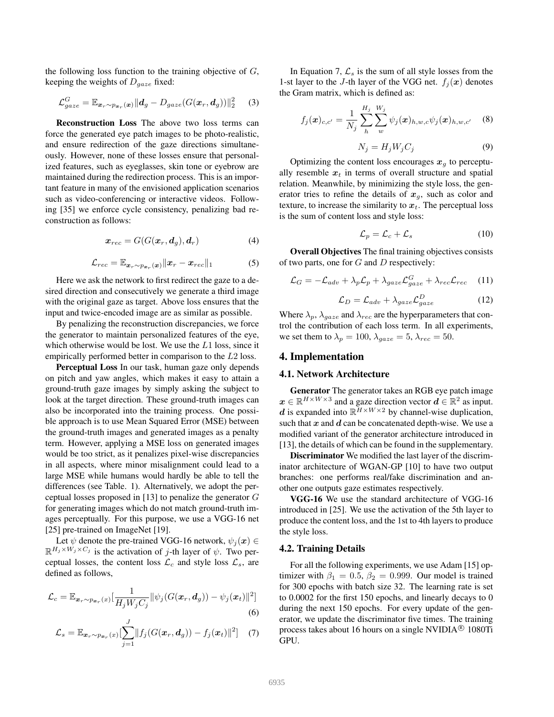the following loss function to the training objective of  $G$ , keeping the weights of  $D_{gaze}$  fixed:

$$
\mathcal{L}_{gaze}^G = \mathbb{E}_{\boldsymbol{x}_r \sim p_{\boldsymbol{x}_r}(\boldsymbol{x})} ||\boldsymbol{d}_g - D_{gaze}(G(\boldsymbol{x}_r, \boldsymbol{d}_g))||_2^2 \qquad (3)
$$

Reconstruction Loss The above two loss terms can force the generated eye patch images to be photo-realistic, and ensure redirection of the gaze directions simultaneously. However, none of these losses ensure that personalized features, such as eyeglasses, skin tone or eyebrow are maintained during the redirection process. This is an important feature in many of the envisioned application scenarios such as video-conferencing or interactive videos. Following [35] we enforce cycle consistency, penalizing bad reconstruction as follows:

$$
\boldsymbol{x}_{rec} = G(G(\boldsymbol{x}_r, \boldsymbol{d}_g), \boldsymbol{d}_r) \tag{4}
$$

$$
\mathcal{L}_{rec} = \mathbb{E}_{\boldsymbol{x}_r \sim p_{\boldsymbol{x}_r}(\boldsymbol{x})} || \boldsymbol{x}_r - \boldsymbol{x}_{rec} ||_1 \tag{5}
$$

Here we ask the network to first redirect the gaze to a desired direction and consecutively we generate a third image with the original gaze as target. Above loss ensures that the input and twice-encoded image are as similar as possible.

By penalizing the reconstruction discrepancies, we force the generator to maintain personalized features of the eye, which otherwise would be lost. We use the L1 loss, since it empirically performed better in comparison to the L2 loss.

Perceptual Loss In our task, human gaze only depends on pitch and yaw angles, which makes it easy to attain a ground-truth gaze images by simply asking the subject to look at the target direction. These ground-truth images can also be incorporated into the training process. One possible approach is to use Mean Squared Error (MSE) between the ground-truth images and generated images as a penalty term. However, applying a MSE loss on generated images would be too strict, as it penalizes pixel-wise discrepancies in all aspects, where minor misalignment could lead to a large MSE while humans would hardly be able to tell the differences (see Table. 1). Alternatively, we adopt the perceptual losses proposed in [13] to penalize the generator G for generating images which do not match ground-truth images perceptually. For this purpose, we use a VGG-16 net [25] pre-trained on ImageNet [19].

Let  $\psi$  denote the pre-trained VGG-16 network,  $\psi_i(\mathbf{x}) \in$  $\mathbb{R}^{H_j \times W_j \times C_j}$  is the activation of j-th layer of  $\psi$ . Two perceptual losses, the content loss  $\mathcal{L}_c$  and style loss  $\mathcal{L}_s$ , are defined as follows,

$$
\mathcal{L}_c = \mathbb{E}_{\mathbf{x}_r \sim p_{\mathbf{x}_r}(x)} \left[ \frac{1}{H_j W_j C_j} \|\psi_j(G(\mathbf{x}_r, \mathbf{d}_g)) - \psi_j(\mathbf{x}_t)\|^2 \right]
$$

$$
\begin{array}{cc} & & (6) \\ J & & \end{array}
$$

$$
\mathcal{L}_s = \mathbb{E}_{\boldsymbol{x}_r \sim p_{\boldsymbol{x}_r}(x)} \left[ \sum_{j=1}^r \| f_j(G(\boldsymbol{x}_r, \boldsymbol{d}_g)) - f_j(\boldsymbol{x}_t) \|^2 \right] \tag{7}
$$

In Equation 7,  $\mathcal{L}_s$  is the sum of all style losses from the 1-st layer to the J-th layer of the VGG net.  $f_i(\boldsymbol{x})$  denotes the Gram matrix, which is defined as:

$$
f_j(\boldsymbol{x})_{c,c'} = \frac{1}{N_j} \sum_{h}^{H_j} \sum_{w}^{W_j} \psi_j(\boldsymbol{x})_{h,w,c} \psi_j(\boldsymbol{x})_{h,w,c'} \quad (8)
$$

$$
N_j = H_j W_j C_j \tag{9}
$$

Optimizing the content loss encourages  $x<sub>q</sub>$  to perceptually resemble  $x_t$  in terms of overall structure and spatial relation. Meanwhile, by minimizing the style loss, the generator tries to refine the details of  $x<sub>g</sub>$ , such as color and texture, to increase the similarity to  $x_t$ . The perceptual loss is the sum of content loss and style loss:

$$
\mathcal{L}_p = \mathcal{L}_c + \mathcal{L}_s \tag{10}
$$

Overall Objectives The final training objectives consists of two parts, one for  $G$  and  $D$  respectively:

$$
\mathcal{L}_G = -\mathcal{L}_{adv} + \lambda_p \mathcal{L}_p + \lambda_{gaze} \mathcal{L}_{gaze}^G + \lambda_{rec} \mathcal{L}_{rec}
$$
 (11)

$$
\mathcal{L}_D = \mathcal{L}_{adv} + \lambda_{gaze} \mathcal{L}_{gaze}^D \tag{12}
$$

Where  $\lambda_p$ ,  $\lambda_{gaze}$  and  $\lambda_{rec}$  are the hyperparameters that control the contribution of each loss term. In all experiments, we set them to  $\lambda_p = 100$ ,  $\lambda_{gaze} = 5$ ,  $\lambda_{rec} = 50$ .

## 4. Implementation

#### 4.1. Network Architecture

Generator The generator takes an RGB eye patch image  $x \in \mathbb{R}^{H \times W \times 3}$  and a gaze direction vector  $d \in \mathbb{R}^2$  as input. *d* is expanded into  $\mathbb{R}^{\overline{H} \times W \times 2}$  by channel-wise duplication, such that  $x$  and  $d$  can be concatenated depth-wise. We use a modified variant of the generator architecture introduced in [13], the details of which can be found in the supplementary.

Discriminator We modified the last layer of the discriminator architecture of WGAN-GP [10] to have two output branches: one performs real/fake discrimination and another one outputs gaze estimates respectively.

VGG-16 We use the standard architecture of VGG-16 introduced in [25]. We use the activation of the 5th layer to produce the content loss, and the 1st to 4th layers to produce the style loss.

#### 4.2. Training Details

For all the following experiments, we use Adam [15] optimizer with  $\beta_1 = 0.5$ ,  $\beta_2 = 0.999$ . Our model is trained for 300 epochs with batch size 32. The learning rate is set to 0.0002 for the first 150 epochs, and linearly decays to 0 during the next 150 epochs. For every update of the generator, we update the discriminator five times. The training process takes about 16 hours on a single NVIDIA $^{\circledR}$  1080Ti GPU.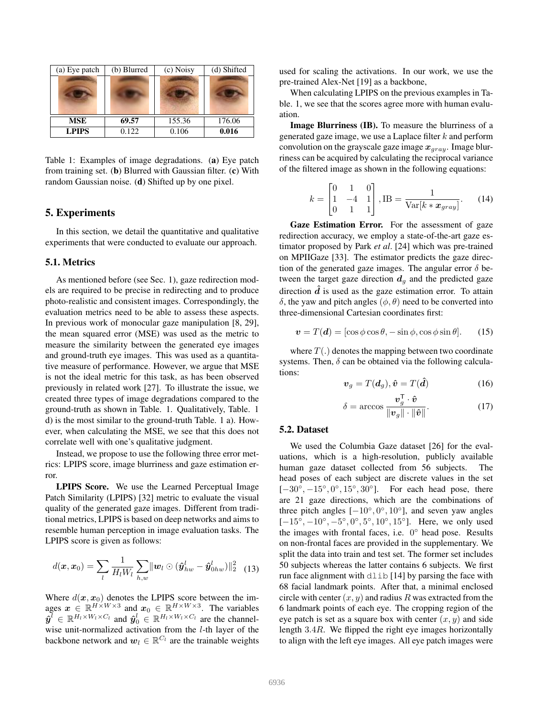| (a) Eye patch | (b) Blurred | (c) Noisy | (d) Shifted |
|---------------|-------------|-----------|-------------|
|               |             |           |             |
| <b>MSE</b>    | 69.57       | 155.36    | 176.06      |
| <b>LPIPS</b>  | 0.122       | 0.106     | 0.016       |

Table 1: Examples of image degradations. (a) Eye patch from training set. (b) Blurred with Gaussian filter. (c) With random Gaussian noise. (d) Shifted up by one pixel.

## 5. Experiments

In this section, we detail the quantitative and qualitative experiments that were conducted to evaluate our approach.

#### 5.1. Metrics

As mentioned before (see Sec. 1), gaze redirection models are required to be precise in redirecting and to produce photo-realistic and consistent images. Correspondingly, the evaluation metrics need to be able to assess these aspects. In previous work of monocular gaze manipulation [8, 29], the mean squared error (MSE) was used as the metric to measure the similarity between the generated eye images and ground-truth eye images. This was used as a quantitative measure of performance. However, we argue that MSE is not the ideal metric for this task, as has been observed previously in related work [27]. To illustrate the issue, we created three types of image degradations compared to the ground-truth as shown in Table. 1. Qualitatively, Table. 1 d) is the most similar to the ground-truth Table. 1 a). However, when calculating the MSE, we see that this does not correlate well with one's qualitative judgment.

Instead, we propose to use the following three error metrics: LPIPS score, image blurriness and gaze estimation error.

LPIPS Score. We use the Learned Perceptual Image Patch Similarity (LPIPS) [32] metric to evaluate the visual quality of the generated gaze images. Different from traditional metrics, LPIPS is based on deep networks and aims to resemble human perception in image evaluation tasks. The LPIPS score is given as follows:

$$
d(\boldsymbol{x}, \boldsymbol{x}_0) = \sum_l \frac{1}{H_l W_l} \sum_{h,w} ||\boldsymbol{w}_l \odot (\hat{\boldsymbol{y}}_{hw}^l - \hat{\boldsymbol{y}}_{0hw}^l) ||_2^2
$$
 (13)

Where  $d(\mathbf{x}, \mathbf{x}_0)$  denotes the LPIPS score between the images  $x \in \mathbb{R}^{H \times W \times 3}$  and  $x_0 \in \mathbb{R}^{H \times W \times 3}$ . The variables  $\hat{\bm{y}}^l \in \mathbb{R}^{H_l \times W_l \times C_l}$  and  $\hat{\bm{y}}_0^l \in \mathbb{R}^{H_l \times W_l \times C_l}$  are the channelwise unit-normalized activation from the  $l$ -th layer of the backbone network and  $w_l \in \mathbb{R}^{C_l}$  are the trainable weights used for scaling the activations. In our work, we use the pre-trained Alex-Net [19] as a backbone,

When calculating LPIPS on the previous examples in Table. 1, we see that the scores agree more with human evaluation.

Image Blurriness (IB). To measure the blurriness of a generated gaze image, we use a Laplace filter  $k$  and perform convolution on the grayscale gaze image  $x_{gray}$ . Image blurriness can be acquired by calculating the reciprocal variance of the filtered image as shown in the following equations:

$$
k = \begin{bmatrix} 0 & 1 & 0 \\ 1 & -4 & 1 \\ 0 & 1 & 1 \end{bmatrix}, \text{IB} = \frac{1}{\text{Var}[k * x_{gray}]}.
$$
 (14)

Gaze Estimation Error. For the assessment of gaze redirection accuracy, we employ a state-of-the-art gaze estimator proposed by Park *et al*. [24] which was pre-trained on MPIIGaze [33]. The estimator predicts the gaze direction of the generated gaze images. The angular error  $\delta$  between the target gaze direction  $d_q$  and the predicted gaze direction  $\hat{d}$  is used as the gaze estimation error. To attain δ, the yaw and pitch angles  $(φ, θ)$  need to be converted into three-dimensional Cartesian coordinates first:

$$
\mathbf{v} = T(\mathbf{d}) = [\cos \phi \cos \theta, -\sin \phi, \cos \phi \sin \theta].
$$
 (15)

where  $T(.)$  denotes the mapping between two coordinate systems. Then,  $\delta$  can be obtained via the following calculations:

$$
\boldsymbol{v}_g = T(\boldsymbol{d}_g), \hat{\boldsymbol{v}} = T(\hat{\boldsymbol{d}})
$$
 (16)

$$
\delta = \arccos \frac{\boldsymbol{v}_g^{\mathsf{T}} \cdot \hat{\boldsymbol{v}}}{\|\boldsymbol{v}_g\| \cdot \|\hat{\boldsymbol{v}}\|}.
$$
 (17)

#### 5.2. Dataset

We used the Columbia Gaze dataset [26] for the evaluations, which is a high-resolution, publicly available human gaze dataset collected from 56 subjects. The head poses of each subject are discrete values in the set  $[-30^\circ, -15^\circ, 0^\circ, 15^\circ, 30^\circ]$ . For each head pose, there are 21 gaze directions, which are the combinations of three pitch angles  $[-10^{\circ}, 0^{\circ}, 10^{\circ}]$ , and seven yaw angles  $[-15^{\circ}, -10^{\circ}, -5^{\circ}, 0^{\circ}, 5^{\circ}, 10^{\circ}, 15^{\circ}]$ . Here, we only used the images with frontal faces, i.e. 0° head pose. Results on non-frontal faces are provided in the supplementary. We split the data into train and test set. The former set includes 50 subjects whereas the latter contains 6 subjects. We first run face alignment with  $d\text{lib}$  [14] by parsing the face with 68 facial landmark points. After that, a minimal enclosed circle with center  $(x, y)$  and radius R was extracted from the 6 landmark points of each eye. The cropping region of the eye patch is set as a square box with center  $(x, y)$  and side length 3.4R. We flipped the right eye images horizontally to align with the left eye images. All eye patch images were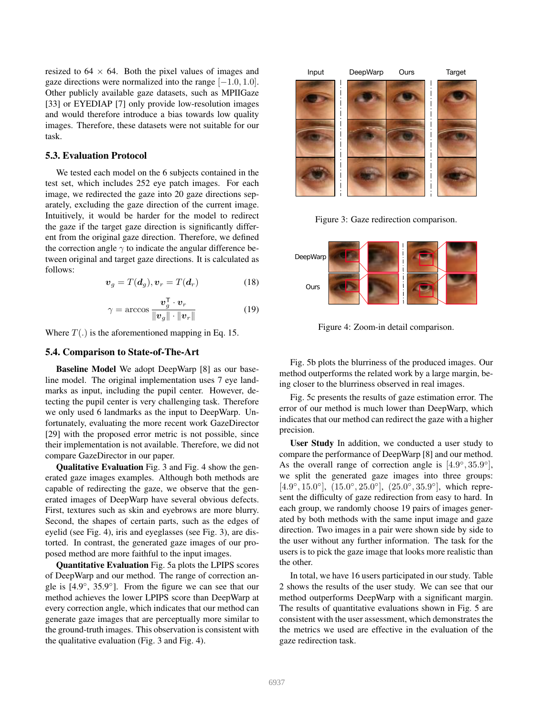resized to  $64 \times 64$ . Both the pixel values of images and gaze directions were normalized into the range  $[-1.0, 1.0]$ . Other publicly available gaze datasets, such as MPIIGaze [33] or EYEDIAP [7] only provide low-resolution images and would therefore introduce a bias towards low quality images. Therefore, these datasets were not suitable for our task.

## 5.3. Evaluation Protocol

We tested each model on the 6 subjects contained in the test set, which includes 252 eye patch images. For each image, we redirected the gaze into 20 gaze directions separately, excluding the gaze direction of the current image. Intuitively, it would be harder for the model to redirect the gaze if the target gaze direction is significantly different from the original gaze direction. Therefore, we defined the correction angle  $\gamma$  to indicate the angular difference between original and target gaze directions. It is calculated as follows:

$$
\boldsymbol{v}_g = T(\boldsymbol{d}_g), \boldsymbol{v}_r = T(\boldsymbol{d}_r) \tag{18}
$$

$$
\gamma = \arccos \frac{\boldsymbol{v}_g^{\mathsf{T}} \cdot \boldsymbol{v}_r}{\|\boldsymbol{v}_g\| \cdot \|\boldsymbol{v}_r\|} \tag{19}
$$

Where  $T(.)$  is the aforementioned mapping in Eq. 15.

#### 5.4. Comparison to State-of-The-Art

Baseline Model We adopt DeepWarp [8] as our baseline model. The original implementation uses 7 eye landmarks as input, including the pupil center. However, detecting the pupil center is very challenging task. Therefore we only used 6 landmarks as the input to DeepWarp. Unfortunately, evaluating the more recent work GazeDirector [29] with the proposed error metric is not possible, since their implementation is not available. Therefore, we did not compare GazeDirector in our paper.

Qualitative Evaluation Fig. 3 and Fig. 4 show the generated gaze images examples. Although both methods are capable of redirecting the gaze, we observe that the generated images of DeepWarp have several obvious defects. First, textures such as skin and eyebrows are more blurry. Second, the shapes of certain parts, such as the edges of eyelid (see Fig. 4), iris and eyeglasses (see Fig. 3), are distorted. In contrast, the generated gaze images of our proposed method are more faithful to the input images.

Quantitative Evaluation Fig. 5a plots the LPIPS scores of DeepWarp and our method. The range of correction angle is  $[4.9^\circ, 35.9^\circ]$ . From the figure we can see that our method achieves the lower LPIPS score than DeepWarp at every correction angle, which indicates that our method can generate gaze images that are perceptually more similar to the ground-truth images. This observation is consistent with the qualitative evaluation (Fig. 3 and Fig. 4).



Figure 3: Gaze redirection comparison.



Figure 4: Zoom-in detail comparison.

Fig. 5b plots the blurriness of the produced images. Our method outperforms the related work by a large margin, being closer to the blurriness observed in real images.

Fig. 5c presents the results of gaze estimation error. The error of our method is much lower than DeepWarp, which indicates that our method can redirect the gaze with a higher precision.

User Study In addition, we conducted a user study to compare the performance of DeepWarp [8] and our method. As the overall range of correction angle is  $[4.9^{\circ}, 35.9^{\circ}]$ , we split the generated gaze images into three groups: [ $4.9^\circ, 15.0^\circ$ ],  $(15.0^\circ, 25.0^\circ)$ ,  $(25.0^\circ, 35.9^\circ)$ , which represent the difficulty of gaze redirection from easy to hard. In each group, we randomly choose 19 pairs of images generated by both methods with the same input image and gaze direction. Two images in a pair were shown side by side to the user without any further information. The task for the users is to pick the gaze image that looks more realistic than the other.

In total, we have 16 users participated in our study. Table 2 shows the results of the user study. We can see that our method outperforms DeepWarp with a significant margin. The results of quantitative evaluations shown in Fig. 5 are consistent with the user assessment, which demonstrates the the metrics we used are effective in the evaluation of the gaze redirection task.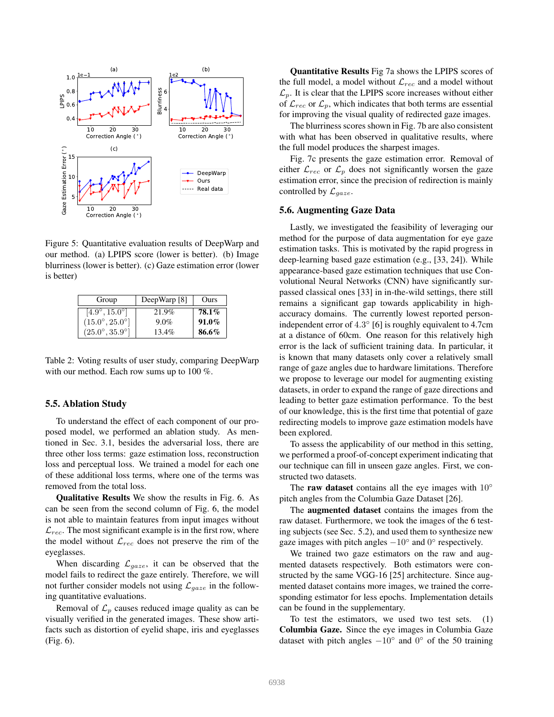

Figure 5: Quantitative evaluation results of DeepWarp and our method. (a) LPIPS score (lower is better). (b) Image blurriness (lower is better). (c) Gaze estimation error (lower is better)

| Group                          | DeepWarp [8] | Ours     |
|--------------------------------|--------------|----------|
| $[4.9^{\circ}, 15.0^{\circ}]$  | 21.9%        | 78.1%    |
| $(15.0^{\circ}, 25.0^{\circ}]$ | $9.0\%$      | $91.0\%$ |
| $(25.0^{\circ}, 35.9^{\circ})$ | $13.4\%$     | 86.6%    |

Table 2: Voting results of user study, comparing DeepWarp with our method. Each row sums up to 100 %.

#### 5.5. Ablation Study

To understand the effect of each component of our proposed model, we performed an ablation study. As mentioned in Sec. 3.1, besides the adversarial loss, there are three other loss terms: gaze estimation loss, reconstruction loss and perceptual loss. We trained a model for each one of these additional loss terms, where one of the terms was removed from the total loss.

Qualitative Results We show the results in Fig. 6. As can be seen from the second column of Fig. 6, the model is not able to maintain features from input images without  $\mathcal{L}_{rec}$ . The most significant example is in the first row, where the model without  $\mathcal{L}_{rec}$  does not preserve the rim of the eyeglasses.

When discarding  $\mathcal{L}_{gaze}$ , it can be observed that the model fails to redirect the gaze entirely. Therefore, we will not further consider models not using  $\mathcal{L}_{gaze}$  in the following quantitative evaluations.

Removal of  $\mathcal{L}_p$  causes reduced image quality as can be visually verified in the generated images. These show artifacts such as distortion of eyelid shape, iris and eyeglasses (Fig. 6).

Quantitative Results Fig 7a shows the LPIPS scores of the full model, a model without  $\mathcal{L}_{rec}$  and a model without  $\mathcal{L}_p$ . It is clear that the LPIPS score increases without either of  $\mathcal{L}_{rec}$  or  $\mathcal{L}_p$ , which indicates that both terms are essential for improving the visual quality of redirected gaze images.

The blurriness scores shown in Fig. 7b are also consistent with what has been observed in qualitative results, where the full model produces the sharpest images.

Fig. 7c presents the gaze estimation error. Removal of either  $\mathcal{L}_{rec}$  or  $\mathcal{L}_p$  does not significantly worsen the gaze estimation error, since the precision of redirection is mainly controlled by  $\mathcal{L}_{gaze}$ .

#### 5.6. Augmenting Gaze Data

Lastly, we investigated the feasibility of leveraging our method for the purpose of data augmentation for eye gaze estimation tasks. This is motivated by the rapid progress in deep-learning based gaze estimation (e.g., [33, 24]). While appearance-based gaze estimation techniques that use Convolutional Neural Networks (CNN) have significantly surpassed classical ones [33] in in-the-wild settings, there still remains a significant gap towards applicability in highaccuracy domains. The currently lowest reported personindependent error of 4.3° [6] is roughly equivalent to 4.7cm at a distance of 60cm. One reason for this relatively high error is the lack of sufficient training data. In particular, it is known that many datasets only cover a relatively small range of gaze angles due to hardware limitations. Therefore we propose to leverage our model for augmenting existing datasets, in order to expand the range of gaze directions and leading to better gaze estimation performance. To the best of our knowledge, this is the first time that potential of gaze redirecting models to improve gaze estimation models have been explored.

To assess the applicability of our method in this setting, we performed a proof-of-concept experiment indicating that our technique can fill in unseen gaze angles. First, we constructed two datasets.

The raw dataset contains all the eye images with  $10°$ pitch angles from the Columbia Gaze Dataset [26].

The augmented dataset contains the images from the raw dataset. Furthermore, we took the images of the 6 testing subjects (see Sec. 5.2), and used them to synthesize new gaze images with pitch angles  $-10°$  and  $0°$  respectively.

We trained two gaze estimators on the raw and augmented datasets respectively. Both estimators were constructed by the same VGG-16 [25] architecture. Since augmented dataset contains more images, we trained the corresponding estimator for less epochs. Implementation details can be found in the supplementary.

To test the estimators, we used two test sets. (1) Columbia Gaze. Since the eye images in Columbia Gaze dataset with pitch angles  $-10^\circ$  and  $0^\circ$  of the 50 training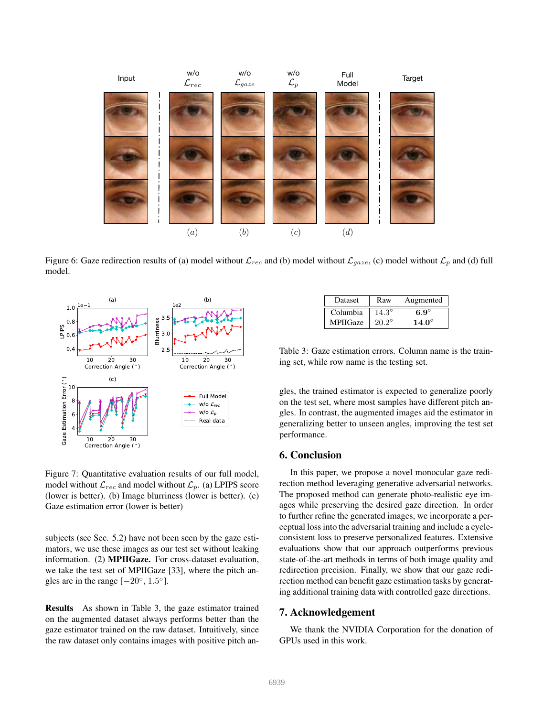

Figure 6: Gaze redirection results of (a) model without  $\mathcal{L}_{rec}$  and (b) model without  $\mathcal{L}_{gaze}$ , (c) model without  $\mathcal{L}_p$  and (d) full model.



Figure 7: Quantitative evaluation results of our full model, model without  $\mathcal{L}_{rec}$  and model without  $\mathcal{L}_p$ . (a) LPIPS score (lower is better). (b) Image blurriness (lower is better). (c) Gaze estimation error (lower is better)

subjects (see Sec. 5.2) have not been seen by the gaze estimators, we use these images as our test set without leaking information. (2) MPIIGaze. For cross-dataset evaluation, we take the test set of MPIIGaze [33], where the pitch angles are in the range  $[-20^{\circ}, 1.5^{\circ}]$ .

Results As shown in Table 3, the gaze estimator trained on the augmented dataset always performs better than the gaze estimator trained on the raw dataset. Intuitively, since the raw dataset only contains images with positive pitch an-

| <b>Dataset</b>  | Raw            | Augmented      |
|-----------------|----------------|----------------|
| Columbia        | $14.3^\circ$   | 6.9 $^{\circ}$ |
| <b>MPIIGaze</b> | $20.2^{\circ}$ | $14.0^\circ$   |

Table 3: Gaze estimation errors. Column name is the training set, while row name is the testing set.

gles, the trained estimator is expected to generalize poorly on the test set, where most samples have different pitch angles. In contrast, the augmented images aid the estimator in generalizing better to unseen angles, improving the test set performance.

## 6. Conclusion

In this paper, we propose a novel monocular gaze redirection method leveraging generative adversarial networks. The proposed method can generate photo-realistic eye images while preserving the desired gaze direction. In order to further refine the generated images, we incorporate a perceptual loss into the adversarial training and include a cycleconsistent loss to preserve personalized features. Extensive evaluations show that our approach outperforms previous state-of-the-art methods in terms of both image quality and redirection precision. Finally, we show that our gaze redirection method can benefit gaze estimation tasks by generating additional training data with controlled gaze directions.

#### 7. Acknowledgement

We thank the NVIDIA Corporation for the donation of GPUs used in this work.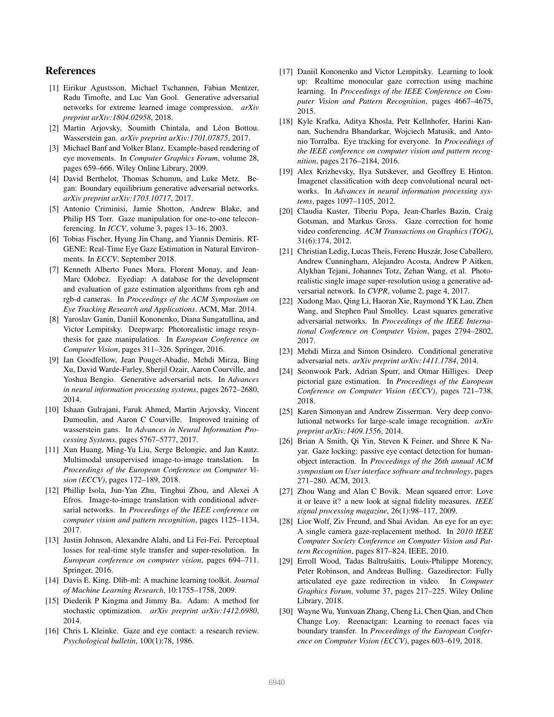## References

- [1] Eirikur Agustsson, Michael Tschannen, Fabian Mentzer, Radu Timofte, and Luc Van Gool. Generative adversarial networks for extreme learned image compression. *arXiv preprint arXiv:1804.02958*, 2018.
- [2] Martin Arjovsky, Soumith Chintala, and Léon Bottou. Wasserstein gan. *arXiv preprint arXiv:1701.07875*, 2017.
- [3] Michael Banf and Volker Blanz. Example-based rendering of eye movements. In *Computer Graphics Forum*, volume 28, pages 659–666. Wiley Online Library, 2009.
- [4] David Berthelot, Thomas Schumm, and Luke Metz. Began: Boundary equilibrium generative adversarial networks. *arXiv preprint arXiv:1703.10717*, 2017.
- [5] Antonio Criminisi, Jamie Shotton, Andrew Blake, and Philip HS Torr. Gaze manipulation for one-to-one teleconferencing. In *ICCV*, volume 3, pages 13–16, 2003.
- [6] Tobias Fischer, Hyung Jin Chang, and Yiannis Demiris. RT-GENE: Real-Time Eye Gaze Estimation in Natural Environments. In *ECCV*, September 2018.
- [7] Kenneth Alberto Funes Mora, Florent Monay, and Jean-Marc Odobez. Eyediap: A database for the development and evaluation of gaze estimation algorithms from rgb and rgb-d cameras. In *Proceedings of the ACM Symposium on Eye Tracking Research and Applications*. ACM, Mar. 2014.
- [8] Yaroslav Ganin, Daniil Kononenko, Diana Sungatullina, and Victor Lempitsky. Deepwarp: Photorealistic image resynthesis for gaze manipulation. In *European Conference on Computer Vision*, pages 311–326. Springer, 2016.
- [9] Ian Goodfellow, Jean Pouget-Abadie, Mehdi Mirza, Bing Xu, David Warde-Farley, Sherjil Ozair, Aaron Courville, and Yoshua Bengio. Generative adversarial nets. In *Advances in neural information processing systems*, pages 2672–2680, 2014.
- [10] Ishaan Gulrajani, Faruk Ahmed, Martin Arjovsky, Vincent Dumoulin, and Aaron C Courville. Improved training of wasserstein gans. In *Advances in Neural Information Processing Systems*, pages 5767–5777, 2017.
- [11] Xun Huang, Ming-Yu Liu, Serge Belongie, and Jan Kautz. Multimodal unsupervised image-to-image translation. In *Proceedings of the European Conference on Computer Vision (ECCV)*, pages 172–189, 2018.
- [12] Phillip Isola, Jun-Yan Zhu, Tinghui Zhou, and Alexei A Efros. Image-to-image translation with conditional adversarial networks. In *Proceedings of the IEEE conference on computer vision and pattern recognition*, pages 1125–1134, 2017.
- [13] Justin Johnson, Alexandre Alahi, and Li Fei-Fei. Perceptual losses for real-time style transfer and super-resolution. In *European conference on computer vision*, pages 694–711. Springer, 2016.
- [14] Davis E. King. Dlib-ml: A machine learning toolkit. *Journal of Machine Learning Research*, 10:1755–1758, 2009.
- [15] Diederik P Kingma and Jimmy Ba. Adam: A method for stochastic optimization. *arXiv preprint arXiv:1412.6980*, 2014.
- [16] Chris L Kleinke. Gaze and eye contact: a research review. *Psychological bulletin*, 100(1):78, 1986.
- [17] Daniil Kononenko and Victor Lempitsky. Learning to look up: Realtime monocular gaze correction using machine learning. In *Proceedings of the IEEE Conference on Computer Vision and Pattern Recognition*, pages 4667–4675, 2015.
- [18] Kyle Krafka, Aditya Khosla, Petr Kellnhofer, Harini Kannan, Suchendra Bhandarkar, Wojciech Matusik, and Antonio Torralba. Eye tracking for everyone. In *Proceedings of the IEEE conference on computer vision and pattern recognition*, pages 2176–2184, 2016.
- [19] Alex Krizhevsky, Ilya Sutskever, and Geoffrey E Hinton. Imagenet classification with deep convolutional neural networks. In *Advances in neural information processing systems*, pages 1097–1105, 2012.
- [20] Claudia Kuster, Tiberiu Popa, Jean-Charles Bazin, Craig Gotsman, and Markus Gross. Gaze correction for home video conferencing. *ACM Transactions on Graphics (TOG)*, 31(6):174, 2012.
- [21] Christian Ledig, Lucas Theis, Ferenc Huszár, Jose Caballero, Andrew Cunningham, Alejandro Acosta, Andrew P Aitken, Alykhan Tejani, Johannes Totz, Zehan Wang, et al. Photorealistic single image super-resolution using a generative adversarial network. In *CVPR*, volume 2, page 4, 2017.
- [22] Xudong Mao, Qing Li, Haoran Xie, Raymond YK Lau, Zhen Wang, and Stephen Paul Smolley. Least squares generative adversarial networks. In *Proceedings of the IEEE International Conference on Computer Vision*, pages 2794–2802, 2017.
- [23] Mehdi Mirza and Simon Osindero. Conditional generative adversarial nets. *arXiv preprint arXiv:1411.1784*, 2014.
- [24] Seonwook Park, Adrian Spurr, and Otmar Hilliges. Deep pictorial gaze estimation. In *Proceedings of the European Conference on Computer Vision (ECCV)*, pages 721–738, 2018.
- [25] Karen Simonyan and Andrew Zisserman. Very deep convolutional networks for large-scale image recognition. *arXiv preprint arXiv:1409.1556*, 2014.
- [26] Brian A Smith, Qi Yin, Steven K Feiner, and Shree K Nayar. Gaze locking: passive eye contact detection for humanobject interaction. In *Proceedings of the 26th annual ACM symposium on User interface software and technology*, pages 271–280. ACM, 2013.
- [27] Zhou Wang and Alan C Bovik. Mean squared error: Love it or leave it? a new look at signal fidelity measures. *IEEE signal processing magazine*, 26(1):98–117, 2009.
- [28] Lior Wolf, Ziv Freund, and Shai Avidan. An eye for an eye: A single camera gaze-replacement method. In *2010 IEEE Computer Society Conference on Computer Vision and Pattern Recognition*, pages 817–824. IEEE, 2010.
- [29] Erroll Wood, Tadas Baltrušaitis, Louis-Philippe Morency, Peter Robinson, and Andreas Bulling. Gazedirector: Fully articulated eye gaze redirection in video. In *Computer Graphics Forum*, volume 37, pages 217–225. Wiley Online Library, 2018.
- [30] Wayne Wu, Yunxuan Zhang, Cheng Li, Chen Qian, and Chen Change Loy. Reenactgan: Learning to reenact faces via boundary transfer. In *Proceedings of the European Conference on Computer Vision (ECCV)*, pages 603–619, 2018.